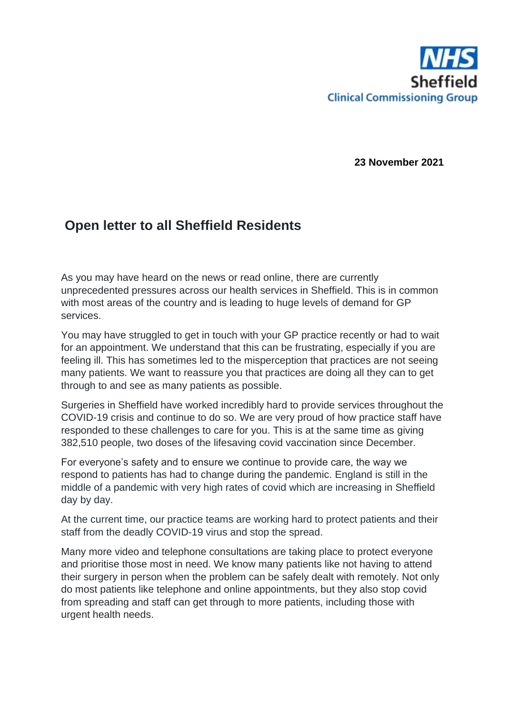

**23 November 2021**

## **Open letter to all Sheffield Residents**

As you may have heard on the news or read online, there are currently unprecedented pressures across our health services in Sheffield. This is in common with most areas of the country and is leading to huge levels of demand for GP services.

You may have struggled to get in touch with your GP practice recently or had to wait for an appointment. We understand that this can be frustrating, especially if you are feeling ill. This has sometimes led to the misperception that practices are not seeing many patients. We want to reassure you that practices are doing all they can to get through to and see as many patients as possible.

Surgeries in Sheffield have worked incredibly hard to provide services throughout the COVID-19 crisis and continue to do so. We are very proud of how practice staff have responded to these challenges to care for you. This is at the same time as giving 382,510 people, two doses of the lifesaving covid vaccination since December.

For everyone's safety and to ensure we continue to provide care, the way we respond to patients has had to change during the pandemic. England is still in the middle of a pandemic with very high rates of covid which are increasing in Sheffield day by day.

At the current time, our practice teams are working hard to protect patients and their staff from the deadly COVID-19 virus and stop the spread.

Many more video and telephone consultations are taking place to protect everyone and prioritise those most in need. We know many patients like not having to attend their surgery in person when the problem can be safely dealt with remotely. Not only do most patients like telephone and online appointments, but they also stop covid from spreading and staff can get through to more patients, including those with urgent health needs.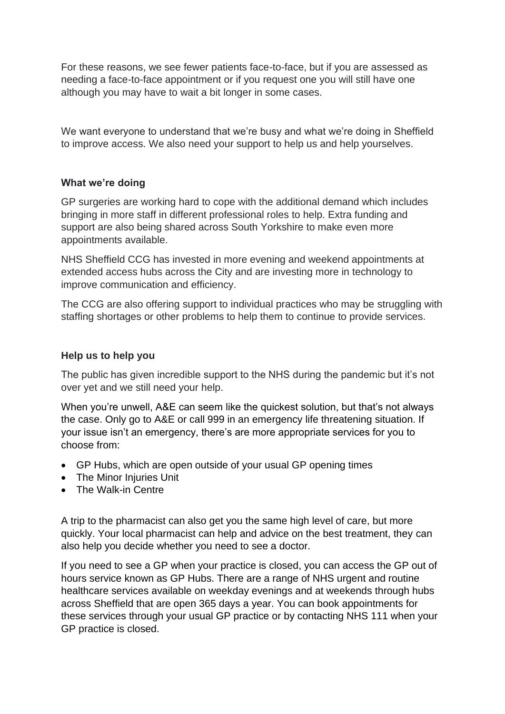For these reasons, we see fewer patients face-to-face, but if you are assessed as needing a face-to-face appointment or if you request one you will still have one although you may have to wait a bit longer in some cases.

We want everyone to understand that we're busy and what we're doing in Sheffield to improve access. We also need your support to help us and help yourselves.

## **What we're doing**

GP surgeries are working hard to cope with the additional demand which includes bringing in more staff in different professional roles to help. Extra funding and support are also being shared across South Yorkshire to make even more appointments available.

NHS Sheffield CCG has invested in more evening and weekend appointments at extended access hubs across the City and are investing more in technology to improve communication and efficiency.

The CCG are also offering support to individual practices who may be struggling with staffing shortages or other problems to help them to continue to provide services.

## **Help us to help you**

The public has given incredible support to the NHS during the pandemic but it's not over yet and we still need your help.

When you're unwell, A&E can seem like the quickest solution, but that's not always the case. Only go to A&E or call 999 in an emergency life threatening situation. If your issue isn't an emergency, there's are more appropriate services for you to choose from:

- GP Hubs, which are open outside of your usual GP opening times
- The Minor Injuries Unit
- The Walk-in Centre

A trip to the pharmacist can also get you the same high level of care, but more quickly. Your local pharmacist can help and advice on the best treatment, they can also help you decide whether you need to see a doctor.

If you need to see a GP when your practice is closed, you can access the GP out of hours service known as GP Hubs. There are a range of NHS urgent and routine healthcare services available on weekday evenings and at weekends through hubs across Sheffield that are open 365 days a year. You can book appointments for these services through your usual GP practice or by contacting NHS 111 when your GP practice is closed.